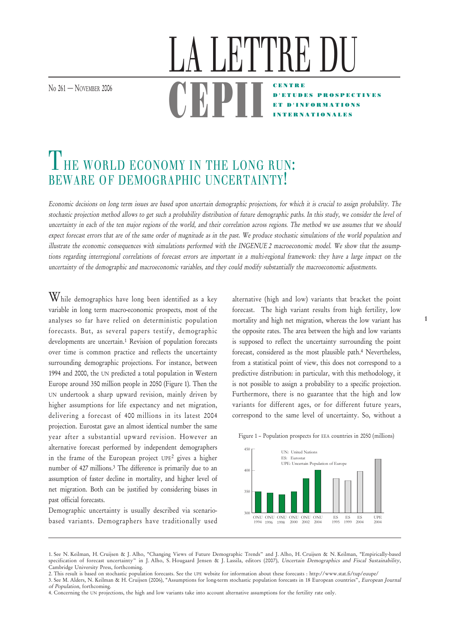No 261 – NOVEMBER 2006

## THE WORLD ECONOMY IN THE LONG RUN: BEWARE OF DEMOGRAPHIC UNCERTAINTY!

Economic decisions on long term issues are based upon uncertain demographic projections, for which it is crucial to assign probability. The stochastic projection method allows to get such a probability distribution of future demographic paths. In this study, we consider the level of uncertainty in each of the ten major regions of the world, and their correlation across regions. The method we use assumes that we should expect forecast errors that are of the same order of magnitude as in the past. We produce stochastic simulations of the world population and illustrate the economic consequences with simulations performed with the INGENUE 2 macroeconomic model. We show that the assumptions regarding interregional correlations of forecast errors are important in a multi-regional framework: they have a large impact on the uncertainty of the demographic and macroeconomic variables, and they could modify substantially the macroeconomic adjustments.

<u>UDFII</u>

 $\operatorname{W}\nolimits$ hile demographics have long been identified as a key variable in long term macro-economic prospects, most of the analyses so far have relied on deterministic population forecasts. But, as several papers testify, demographic developments are uncertain.<sup>1</sup> Revision of population forecasts over time is common practice and reflects the uncertainty surrounding demographic projections. For instance, between 1994 and 2000, the UN predicted a total population in Western Europe around 350 million people in 2050 (Figure 1). Then the UN undertook a sharp upward revision, mainly driven by higher assumptions for life expectancy and net migration, delivering a forecast of 400 millions in its latest 2004 projection. Eurostat gave an almost identical number the same year after a substantial upward revision. However an alternative forecast performed by independent demographers in the frame of the European project UPE2 gives a higher number of 427 millions.3 The difference is primarily due to an assumption of faster decline in mortality, and higher level of net migration. Both can be justified by considering biases in past official forecasts.

Demographic uncertainty is usually described via scenariobased variants. Demographers have traditionally used alternative (high and low) variants that bracket the point forecast. The high variant results from high fertility, low mortality and high net migration, whereas the low variant has the opposite rates. The area between the high and low variants is supposed to reflect the uncertainty surrounding the point forecast, considered as the most plausible path.4 Nevertheless, from a statistical point of view, this does not correspond to a predictive distribution: in particular, with this methodology, it is not possible to assign a probability to a specific projection. Furthermore, there is no guarantee that the high and low variants for different ages, or for different future years, correspond to the same level of uncertainty. So, without a

CENTRE D'ETU

R"I"I'KE

ET D'INFORMATIONS INTERNATIONALES





<sup>1.</sup> See N. Keilman, H. Cruijsen & J. Alho, "Changing Views of Future Demographic Trends" and J. Alho, H. Cruijsen & N. Keilman, "Empirically-based specification of forecast uncertainty" in J. Alho, S. Hougaard Jensen & J. Lassila, editors (2007), Uncertain Demographics and Fiscal Sustainability, Cambridge University Press, forthcoming.

<sup>2.</sup> This result is based on stochastic population forecasts. See the UPE website for information about these forecasts : http://www.stat.fi/tup/euupe/ 3. See M. Alders, N. Keilman & H. Cruijsen (2006), "Assumptions for long-term stochastic population forecasts in 18 European countries", European Journal

of Population, forthcoming.

<sup>4.</sup> Concerning the UN projections, the high and low variants take into account alternative assumptions for the fertility rate only.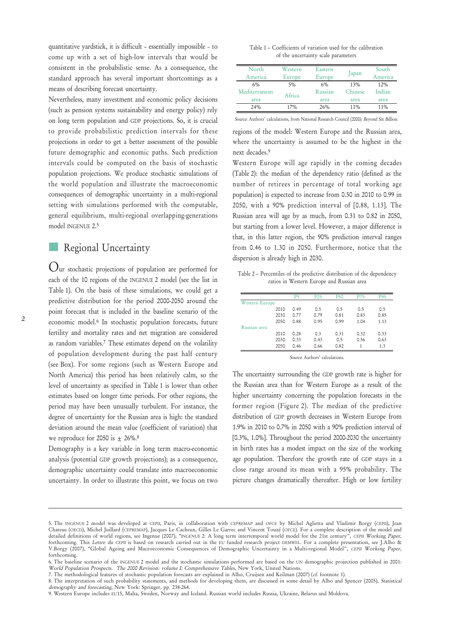quantitative yardstick, it is difficult – essentially impossible – to come up with a set of high-low intervals that would be consistent in the probabilistic sense. As a consequence, the standard approach has several important shortcomings as a means of describing forecast uncertainty.

Nevertheless, many investment and economic policy decisions (such as pension systems sustainability and energy policy) rely on long term population and GDP projections. So, it is crucial to provide probabilistic prediction intervals for these projections in order to get a better assessment of the possible future demographic and economic paths. Such prediction intervals could be computed on the basis of stochastic population projections. We produce stochastic simulations of the world population and illustrate the macroeconomic consequences of demographic uncertainty in a multi-regional setting with simulations performed with the computable, general equilibrium, multi-regional overlapping-generations model INGENUE 2.5

## Regional Uncertainty

Our stochastic projections of population are performed for each of the 10 regions of the INGENUE 2 model (see the list in Table 1). On the basis of these simulations, we could get a predictive distribution for the period 2000-2050 around the point forecast that is included in the baseline scenario of the economic model.6 In stochastic population forecasts, future fertility and mortality rates and net migration are considered as random variables.7 These estimates depend on the volatility of population development during the past half century (see Box). For some regions (such as Western Europe and North America) this period has been relatively calm, so the level of uncertainty as specified in Table 1 is lower than other estimates based on longer time periods. For other regions, the period may have been unusually turbulent. For instance, the degree of uncertainty for the Russian area is high: the standard deviation around the mean value (coefficient of variation) that we reproduce for 2050 is  $\pm$  26%.<sup>8</sup>

Demography is a key variable in long term macro-economic analysis (potential GDP growth projections); as a consequence, demographic uncertainty could translate into macroeconomic uncertainty. In order to illustrate this point, we focus on two

Table 1 – Coefficients of variation used for the calibration of the uncertainty scale parameters

| North<br>America | Western<br>Europe | Eastern<br>Europe | apan    | South<br>America |
|------------------|-------------------|-------------------|---------|------------------|
| 6%               | $5\%$             | 6%                | 13%     | 12%              |
| Mediterranean    | Africa            | Russian           | Chinese | Indian           |
| area             |                   | area              | area    | area             |
| 24%              | 17%               | 26%               | 11%     | 11%              |

Source: Authors' calculations, from National Research Council (2000): Beyond Six Billion.

regions of the model: Western Europe and the Russian area, where the uncertainty is assumed to be the highest in the next decades.9

Western Europe will age rapidly in the coming decades (Table 2): the median of the dependency ratio (defined as the number of retirees in percentage of total working age population) is expected to increase from 0.50 in 2010 to 0.99 in 2050, with a 90% prediction interval of [0.88, 1.13]. The Russian area will age by as much, from 0.31 to 0.82 in 2050, but starting from a lower level. However, a major difference is that, in this latter region, the 90% prediction interval ranges from 0.46 to 1.30 in 2050. Furthermore, notice that the dispersion is already high in 2030.

Table 2 – Percentiles of the predictive distribution of the dependency ratios in Western Europe and Russian area

|                       |      | P5   | P <sub>25</sub> | <b>P50</b> | <b>P75</b> | <b>P95</b> |
|-----------------------|------|------|-----------------|------------|------------|------------|
| <b>Western Europe</b> |      |      |                 |            |            |            |
|                       | 2010 | 0.49 | 0.5             | 0.5        | 0.5        | 0.5        |
|                       | 2030 | 0.77 | 0.79            | 0.81       | 0.83       | 0.85       |
|                       | 2050 | 0.88 | 0.95            | 0.99       | 1.04       | 1.13       |
| Russian area          |      |      |                 |            |            |            |
|                       | 2010 | 0.28 | 0.3             | 0.31       | 0.32       | 0.33       |
|                       | 2030 | 0.33 | 0.43            | 0.5        | 0.56       | 0.63       |
|                       | 2050 | 0.46 | 0.66            | 0.82       |            | 1.3        |

Source: Authors' calculations.

The uncertainty surrounding the GDP growth rate is higher for the Russian area than for Western Europe as a result of the higher uncertainty concerning the population forecasts in the former region (Figure 2). The median of the predictive distribution of GDP growth decreases in Western Europe from 1.9% in 2010 to 0.7% in 2050 with a 90% prediction interval of [0.3%, 1.0%]. Throughout the period 2000-2030 the uncertainty in birth rates has a modest impact on the size of the working age population. Therefore the growth rate of GDP stays in a close range around its mean with a 95% probability. The picture changes dramatically thereafter. High or low fertility

<sup>5.</sup> The INGENUE 2 model was developed at CEPII, Paris, in collaboration with CEPREMAP and OFCE by Michel Aglietta and Vladimir Borgy (CEPII), Jean Chateau (OECD), Michel Juillard (CEPREMAP), Jacques Le Cacheux, Gilles Le Garrec and Vincent Touzé (OFCE). For a complete description of the model and detailed definitions of world regions, see Ingenue (2007), "INGENUE 2: A long term intertemporal world model for the 21st century", CEPII Working Paper, forthcoming. This Lettre du CEPII is based on research carried out in the EU funded research project DEMWEL. For a complete presentation, see J.Alho & V.Borgy (2007), "Global Ageing and Macroeconomic Consequences of Demographic Uncertainty in a Multi-regional Model", CEPII Working Paper, forthcoming.

<sup>6.</sup> The baseline scenario of the INGENUE 2 model and the stochastic simulations performed are based on the UN demographic projection published in 2001: World Population Prospects. The 2000 Revision: volume I: Comprehensive Tables, New York, United Nations.

<sup>7.</sup> The methodological features of stochastic population forecasts are explained in Alho, Cruijsen and Keilman (2007) (cf. footnote 1).

<sup>8.</sup> The interpretation of such probability statements, and methods for developing them, are discussed in some detail by Alho and Spencer (2005), Statistical demography and forecasting, New York: Springer, pp. 238-264.

<sup>9.</sup> Western Europe includes EU15, Malta, Sweden, Norway and Iceland. Russian world includes Russia, Ukraine, Belarus and Moldova.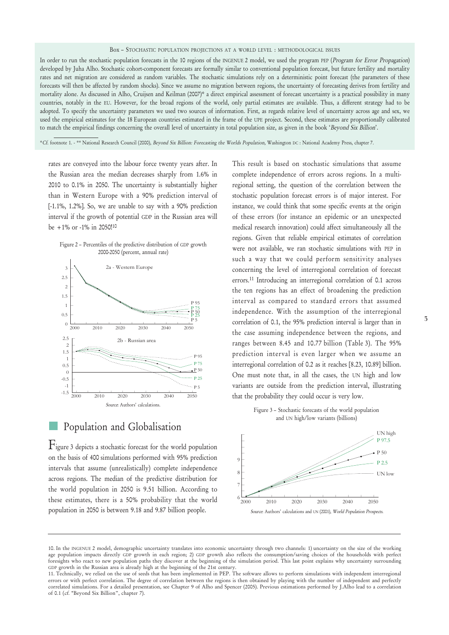In order to run the stochastic population forecasts in the 10 regions of the INGENUE 2 model, we used the program PEP (Program for Error Propagation) developed by Juha Alho. Stochastic cohort-component forecasts are formally similar to conventional population forecast, but future fertility and mortality rates and net migration are considered as random variables. The stochastic simulations rely on a deterministic point forecast (the parameters of these forecasts will then be affected by random shocks). Since we assume no migration between regions, the uncertainty of forecasting derives from fertility and mortality alone. As discussed in Alho, Cruijsen and Keilman (2007)\* a direct empirical assessment of forecast uncertainty is a practical possibility in many countries, notably in the EU. However, for the broad regions of the world, only partial estimates are available. Thus, a different strategy had to be adopted. To specify the uncertainty parameters we used two sources of information. First, as regards relative level of uncertainty across age and sex, we used the empirical estimates for the 18 European countries estimated in the frame of the UPE project. Second, these estimates are proportionally calibrated to match the empirical findings concerning the overall level of uncertainty in total population size, as given in the book 'Beyond Six Billion'.

\*Cf. footnote 1. - \*\* National Research Council (2000), Beyond Six Billion: Forecasting the Worlds Population, Washington DC : National Academy Press, chapter 7.

rates are conveyed into the labour force twenty years after. In the Russian area the median decreases sharply from 1.6% in 2010 to 0.1% in 2050. The uncertainty is substantially higher than in Western Europe with a 90% prediction interval of [-1.1%, 1.2%]. So, we are unable to say with a 90% prediction interval if the growth of potential GDP in the Russian area will be +1% or -1% in 2050!10



Population and Globalisation

Figure 3 depicts a stochastic forecast for the world population on the basis of 400 simulations performed with 95% prediction intervals that assume (unrealistically) complete independence across regions. The median of the predictive distribution for the world population in 2050 is 9.51 billion. According to these estimates, there is a 50% probability that the world population in 2050 is between 9.18 and 9.87 billion people.

This result is based on stochastic simulations that assume complete independence of errors across regions. In a multiregional setting, the question of the correlation between the stochastic population forecast errors is of major interest. For instance, we could think that some specific events at the origin of these errors (for instance an epidemic or an unexpected medical research innovation) could affect simultaneously all the regions. Given that reliable empirical estimates of correlation were not available, we ran stochastic simulations with PEP in such a way that we could perform sensitivity analyses concerning the level of interregional correlation of forecast errors.11 Introducing an interregional correlation of 0.1 across the ten regions has an effect of broadening the prediction interval as compared to standard errors that assumed independence. With the assumption of the interregional correlation of 0.1, the 95% prediction interval is larger than in the case assuming independence between the regions, and ranges between 8.45 and 10.77 billion (Table 3). The 95% prediction interval is even larger when we assume an interregional correlation of 0.2 as it reaches [8.23, 10.89] billion. One must note that, in all the cases, the UN high and low variants are outside from the prediction interval, illustrating that the probability they could occur is very low.





<sup>10.</sup> In the INGENUE 2 model, demographic uncertainty translates into economic uncertainty through two channels: 1) uncertainty on the size of the working age population impacts directly GDP growth in each region; 2) GDP growth also reflects the consumption/saving choices of the households with perfect foresights who react to new population paths they discover at the beginning of the simulation period. This last point explains why uncertainty surrounding GDP growth in the Russian area is already high at the beginning of the 21st century.

Box – STOCHASTIC POPULATION PROJECTIONS AT A WORLD LEVEL : METHODOLOGICAL ISSUES

<sup>11.</sup> Technically, we relied on the use of seeds that has been implemented in PEP. The software allows to perform simulations with independent interregional errors or with perfect correlation. The degree of correlation between the regions is then obtained by playing with the number of independent and perfectly correlated simulations. For a detailed presentation, see Chapter 9 of Alho and Spencer (2005). Previous estimations performed by J.Alho lead to a correlation of 0.1 (cf. "Beyond Six Billion", chapter 7).